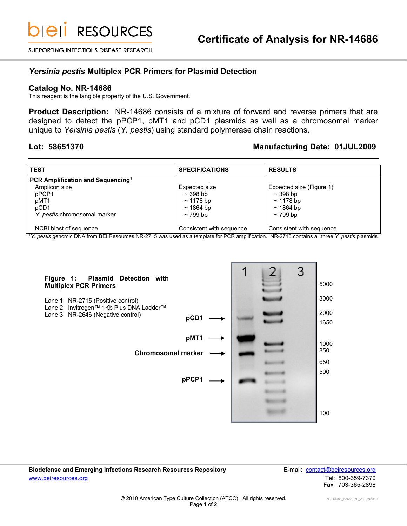SUPPORTING INFECTIOUS DISEASE RESEARCH

### *Yersinia pestis* **Multiplex PCR Primers for Plasmid Detection**

### **Catalog No. NR-14686**

This reagent is the tangible property of the U.S. Government.

**Product Description:** NR-14686 consists of a mixture of forward and reverse primers that are designed to detect the pPCP1, pMT1 and pCD1 plasmids as well as a chromosomal marker unique to *Yersinia pestis* (*Y. pestis*) using standard polymerase chain reactions.

## **Lot: 58651370 Manufacturing Date: 01JUL2009**

| <b>TEST</b>                                   | <b>SPECIFICATIONS</b>    | <b>RESULTS</b>           |
|-----------------------------------------------|--------------------------|--------------------------|
| PCR Amplification and Sequencing <sup>1</sup> |                          |                          |
| Amplicon size                                 | Expected size            | Expected size (Figure 1) |
| pPCP1                                         | $\sim$ 398 bp            | $\sim$ 398 bp            |
| pMT1                                          | $\sim$ 1178 bp           | $\sim$ 1178 bp           |
| pCD1                                          | ~1864~bp                 | $~1864~{\rm bb}$         |
| Y. pestis chromosomal marker                  | $\sim$ 799 bp            | $\sim$ 799 bp            |
|                                               |                          |                          |
| NCBI blast of sequence                        | Consistent with sequence | Consistent with sequence |

<sup>1</sup>*Y. pestis* genomic DNA from BEI Resources NR-2715 was used as a template for PCR amplification. NR-2715 contains all three *Y. pestis* plasmids